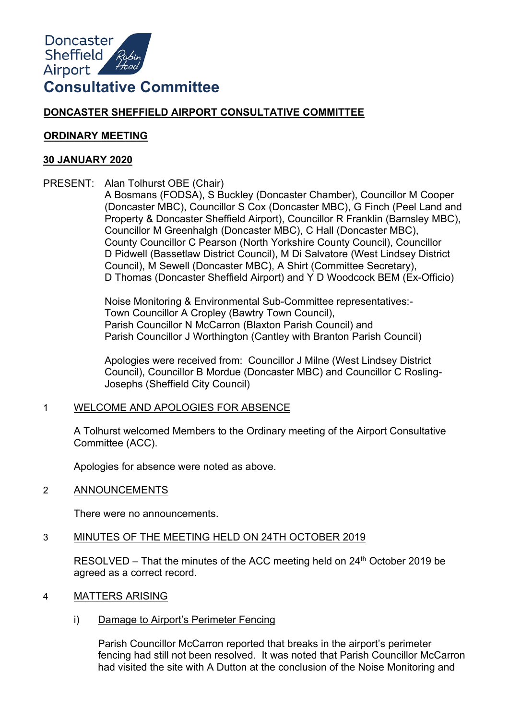

# **DONCASTER SHEFFIELD AIRPORT CONSULTATIVE COMMITTEE**

### **ORDINARY MEETING**

### **30 JANUARY 2020**

PRESENT: Alan Tolhurst OBE (Chair)

A Bosmans (FODSA), S Buckley (Doncaster Chamber), Councillor M Cooper (Doncaster MBC), Councillor S Cox (Doncaster MBC), G Finch (Peel Land and Property & Doncaster Sheffield Airport), Councillor R Franklin (Barnsley MBC), Councillor M Greenhalgh (Doncaster MBC), C Hall (Doncaster MBC), County Councillor C Pearson (North Yorkshire County Council), Councillor D Pidwell (Bassetlaw District Council), M Di Salvatore (West Lindsey District Council), M Sewell (Doncaster MBC), A Shirt (Committee Secretary), D Thomas (Doncaster Sheffield Airport) and Y D Woodcock BEM (Ex-Officio)

Noise Monitoring & Environmental Sub-Committee representatives:- Town Councillor A Cropley (Bawtry Town Council), Parish Councillor N McCarron (Blaxton Parish Council) and Parish Councillor J Worthington (Cantley with Branton Parish Council)

Apologies were received from: Councillor J Milne (West Lindsey District Council), Councillor B Mordue (Doncaster MBC) and Councillor C Rosling-Josephs (Sheffield City Council)

# 1 WELCOME AND APOLOGIES FOR ABSENCE

A Tolhurst welcomed Members to the Ordinary meeting of the Airport Consultative Committee (ACC).

Apologies for absence were noted as above.

2 ANNOUNCEMENTS

There were no announcements.

# 3 MINUTES OF THE MEETING HELD ON 24TH OCTOBER 2019

RESOLVED – That the minutes of the ACC meeting held on 24<sup>th</sup> October 2019 be agreed as a correct record.

- 4 MATTERS ARISING
	- i) Damage to Airport's Perimeter Fencing

Parish Councillor McCarron reported that breaks in the airport's perimeter fencing had still not been resolved. It was noted that Parish Councillor McCarron had visited the site with A Dutton at the conclusion of the Noise Monitoring and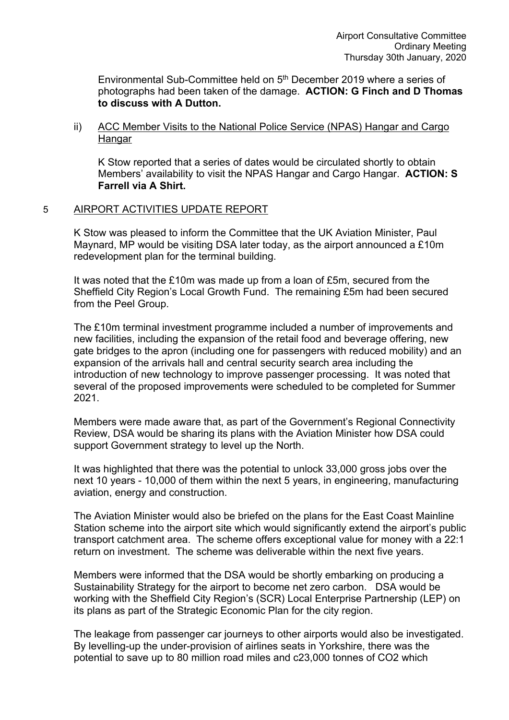Environmental Sub-Committee held on 5<sup>th</sup> December 2019 where a series of photographs had been taken of the damage. **ACTION: G Finch and D Thomas to discuss with A Dutton.**

ii) ACC Member Visits to the National Police Service (NPAS) Hangar and Cargo Hangar

K Stow reported that a series of dates would be circulated shortly to obtain Members' availability to visit the NPAS Hangar and Cargo Hangar. **ACTION: S Farrell via A Shirt.**

## 5 AIRPORT ACTIVITIES UPDATE REPORT

K Stow was pleased to inform the Committee that the UK Aviation Minister, Paul Maynard, MP would be visiting DSA later today, as the airport announced a £10m redevelopment plan for the terminal building.

It was noted that the £10m was made up from a loan of £5m, secured from the Sheffield City Region's Local Growth Fund. The remaining £5m had been secured from the Peel Group.

The £10m terminal investment programme included a number of improvements and new facilities, including the expansion of the retail food and beverage offering, new gate bridges to the apron (including one for passengers with reduced mobility) and an expansion of the arrivals hall and central security search area including the introduction of new technology to improve passenger processing. It was noted that several of the proposed improvements were scheduled to be completed for Summer 2021.

Members were made aware that, as part of the Government's Regional Connectivity Review, DSA would be sharing its plans with the Aviation Minister how DSA could support Government strategy to level up the North.

It was highlighted that there was the potential to unlock 33,000 gross jobs over the next 10 years - 10,000 of them within the next 5 years, in engineering, manufacturing aviation, energy and construction.

The Aviation Minister would also be briefed on the plans for the East Coast Mainline Station scheme into the airport site which would significantly extend the airport's public transport catchment area. The scheme offers exceptional value for money with a 22:1 return on investment. The scheme was deliverable within the next five years.

Members were informed that the DSA would be shortly embarking on producing a Sustainability Strategy for the airport to become net zero carbon. DSA would be working with the Sheffield City Region's (SCR) Local Enterprise Partnership (LEP) on its plans as part of the Strategic Economic Plan for the city region.

The leakage from passenger car journeys to other airports would also be investigated. By levelling-up the under-provision of airlines seats in Yorkshire, there was the potential to save up to 80 million road miles and c23,000 tonnes of CO2 which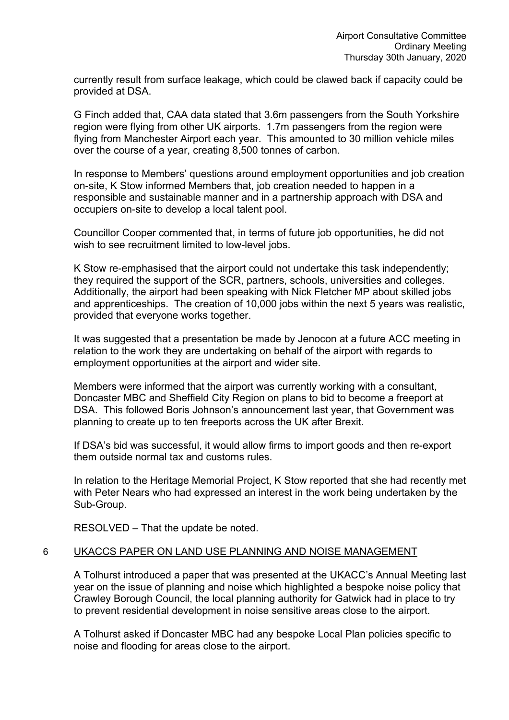currently result from surface leakage, which could be clawed back if capacity could be provided at DSA.

G Finch added that, CAA data stated that 3.6m passengers from the South Yorkshire region were flying from other UK airports. 1.7m passengers from the region were flying from Manchester Airport each year. This amounted to 30 million vehicle miles over the course of a year, creating 8,500 tonnes of carbon.

In response to Members' questions around employment opportunities and job creation on-site, K Stow informed Members that, job creation needed to happen in a responsible and sustainable manner and in a partnership approach with DSA and occupiers on-site to develop a local talent pool.

Councillor Cooper commented that, in terms of future job opportunities, he did not wish to see recruitment limited to low-level jobs.

K Stow re-emphasised that the airport could not undertake this task independently; they required the support of the SCR, partners, schools, universities and colleges. Additionally, the airport had been speaking with Nick Fletcher MP about skilled jobs and apprenticeships. The creation of 10,000 jobs within the next 5 years was realistic, provided that everyone works together.

It was suggested that a presentation be made by Jenocon at a future ACC meeting in relation to the work they are undertaking on behalf of the airport with regards to employment opportunities at the airport and wider site.

Members were informed that the airport was currently working with a consultant, Doncaster MBC and Sheffield City Region on plans to bid to become a freeport at DSA. This followed Boris Johnson's announcement last year, that Government was planning to create up to ten freeports across the UK after Brexit.

If DSA's bid was successful, it would allow firms to import goods and then re-export them outside normal tax and customs rules.

In relation to the Heritage Memorial Project, K Stow reported that she had recently met with Peter Nears who had expressed an interest in the work being undertaken by the Sub-Group.

RESOLVED – That the update be noted.

# 6 UKACCS PAPER ON LAND USE PLANNING AND NOISE MANAGEMENT

A Tolhurst introduced a paper that was presented at the UKACC's Annual Meeting last year on the issue of planning and noise which highlighted a bespoke noise policy that Crawley Borough Council, the local planning authority for Gatwick had in place to try to prevent residential development in noise sensitive areas close to the airport.

A Tolhurst asked if Doncaster MBC had any bespoke Local Plan policies specific to noise and flooding for areas close to the airport.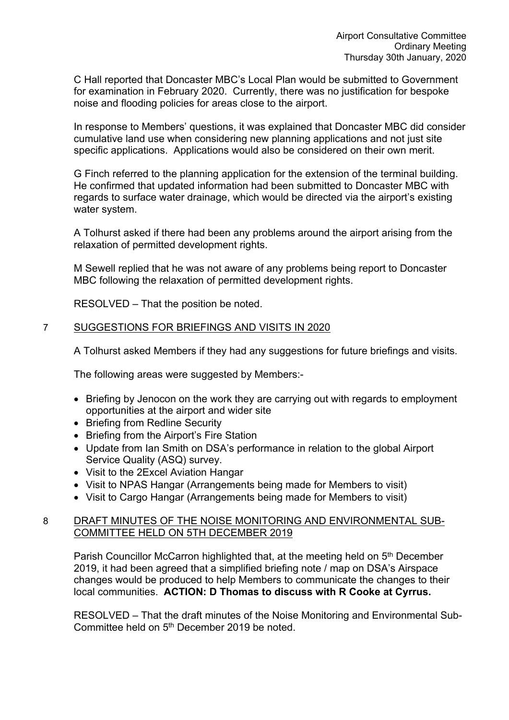C Hall reported that Doncaster MBC's Local Plan would be submitted to Government for examination in February 2020. Currently, there was no justification for bespoke noise and flooding policies for areas close to the airport.

In response to Members' questions, it was explained that Doncaster MBC did consider cumulative land use when considering new planning applications and not just site specific applications. Applications would also be considered on their own merit.

G Finch referred to the planning application for the extension of the terminal building. He confirmed that updated information had been submitted to Doncaster MBC with regards to surface water drainage, which would be directed via the airport's existing water system.

A Tolhurst asked if there had been any problems around the airport arising from the relaxation of permitted development rights.

M Sewell replied that he was not aware of any problems being report to Doncaster MBC following the relaxation of permitted development rights.

RESOLVED – That the position be noted.

# 7 SUGGESTIONS FOR BRIEFINGS AND VISITS IN 2020

A Tolhurst asked Members if they had any suggestions for future briefings and visits.

The following areas were suggested by Members:-

- Briefing by Jenocon on the work they are carrying out with regards to employment opportunities at the airport and wider site
- Briefing from Redline Security
- Briefing from the Airport's Fire Station
- Update from Ian Smith on DSA's performance in relation to the global Airport Service Quality (ASQ) survey.
- Visit to the 2Excel Aviation Hangar
- Visit to NPAS Hangar (Arrangements being made for Members to visit)
- Visit to Cargo Hangar (Arrangements being made for Members to visit)

# 8 DRAFT MINUTES OF THE NOISE MONITORING AND ENVIRONMENTAL SUB-COMMITTEE HELD ON 5TH DECEMBER 2019

Parish Councillor McCarron highlighted that, at the meeting held on 5<sup>th</sup> December 2019, it had been agreed that a simplified briefing note / map on DSA's Airspace changes would be produced to help Members to communicate the changes to their local communities. **ACTION: D Thomas to discuss with R Cooke at Cyrrus.** 

RESOLVED – That the draft minutes of the Noise Monitoring and Environmental Sub-Committee held on 5<sup>th</sup> December 2019 be noted.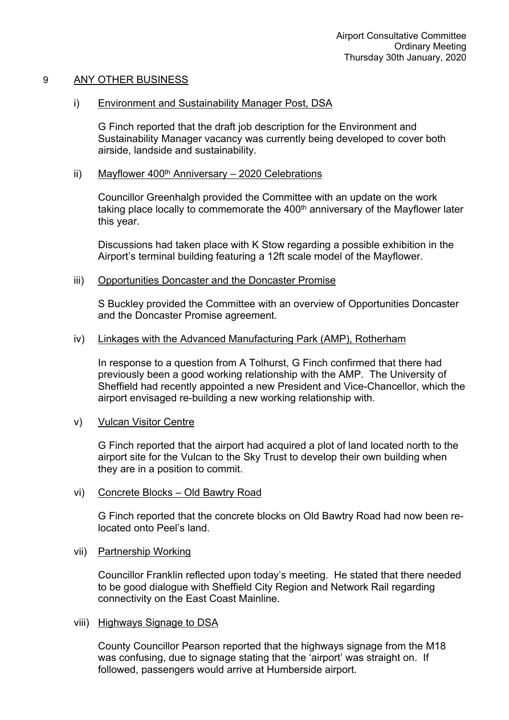## 9 ANY OTHER BUSINESS

### i) Environment and Sustainability Manager Post, DSA

G Finch reported that the draft job description for the Environment and Sustainability Manager vacancy was currently being developed to cover both airside, landside and sustainability.

## ii) Mayflower  $400<sup>th</sup>$  Anniversary – 2020 Celebrations

Councillor Greenhalgh provided the Committee with an update on the work taking place locally to commemorate the  $400<sup>th</sup>$  anniversary of the Mayflower later this year.

Discussions had taken place with K Stow regarding a possible exhibition in the Airport's terminal building featuring a 12ft scale model of the Mayflower.

#### iii) Opportunities Doncaster and the Doncaster Promise

S Buckley provided the Committee with an overview of Opportunities Doncaster and the Doncaster Promise agreement.

## iv) Linkages with the Advanced Manufacturing Park (AMP), Rotherham

In response to a question from A Tolhurst, G Finch confirmed that there had previously been a good working relationship with the AMP. The University of Sheffield had recently appointed a new President and Vice-Chancellor, which the airport envisaged re-building a new working relationship with.

#### v) Vulcan Visitor Centre

G Finch reported that the airport had acquired a plot of land located north to the airport site for the Vulcan to the Sky Trust to develop their own building when they are in a position to commit.

#### vi) Concrete Blocks – Old Bawtry Road

G Finch reported that the concrete blocks on Old Bawtry Road had now been relocated onto Peel's land.

#### vii) Partnership Working

Councillor Franklin reflected upon today's meeting. He stated that there needed to be good dialogue with Sheffield City Region and Network Rail regarding connectivity on the East Coast Mainline.

#### viii) Highways Signage to DSA

County Councillor Pearson reported that the highways signage from the M18 was confusing, due to signage stating that the 'airport' was straight on. If followed, passengers would arrive at Humberside airport.